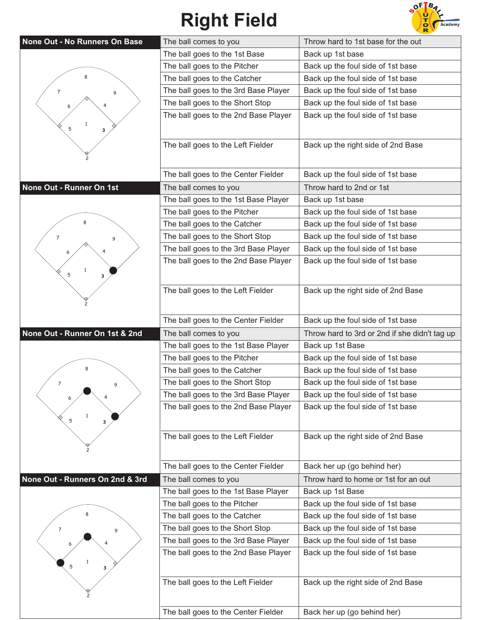## **Right Field**



| None Out - No Runners On Base   | The ball comes to you                | Throw hard to 1st base for the out            |
|---------------------------------|--------------------------------------|-----------------------------------------------|
|                                 | The ball goes to the 1st Base        | Back up 1st base                              |
|                                 | The ball goes to the Pitcher         | Back up the foul side of 1st base             |
|                                 | The ball goes to the Catcher         | Back up the foul side of 1st base             |
| $\overline{7}$<br>9             | The ball goes to the 3rd Base Player | Back up the foul side of 1st base             |
|                                 | The ball goes to the Short Stop      | Back up the foul side of 1st base             |
|                                 | The ball goes to the 2nd Base Player | Back up the foul side of 1st base             |
| 1<br>5<br>3                     |                                      |                                               |
|                                 |                                      |                                               |
|                                 | The ball goes to the Left Fielder    | Back up the right side of 2nd Base            |
|                                 |                                      |                                               |
|                                 | The ball goes to the Center Fielder  | Back up the foul side of 1st base             |
| None Out - Runner On 1st        | The ball comes to you                | Throw hard to 2nd or 1st                      |
|                                 | The ball goes to the 1st Base Player | Back up 1st base                              |
|                                 | The ball goes to the Pitcher         | Back up the foul side of 1st base             |
| 8                               | The ball goes to the Catcher         | Back up the foul side of 1st base             |
| $\overline{7}$<br>9             | The ball goes to the Short Stop      | Back up the foul side of 1st base             |
|                                 | The ball goes to the 3rd Base Player | Back up the foul side of 1st base             |
|                                 | The ball goes to the 2nd Base Player | Back up the foul side of 1st base             |
| $\mathbf{1}$<br>5<br>3          |                                      |                                               |
|                                 | The ball goes to the Left Fielder    | Back up the right side of 2nd Base            |
|                                 |                                      |                                               |
|                                 |                                      |                                               |
|                                 | The ball goes to the Center Fielder  | Back up the foul side of 1st base             |
|                                 |                                      |                                               |
| None Out - Runner On 1st & 2nd  | The ball comes to you                | Throw hard to 3rd or 2nd if she didn't tag up |
|                                 | The ball goes to the 1st Base Player | Back up 1st Base                              |
|                                 | The ball goes to the Pitcher         | Back up the foul side of 1st base             |
|                                 | The ball goes to the Catcher         | Back up the foul side of 1st base             |
|                                 | The ball goes to the Short Stop      | Back up the foul side of 1st base             |
|                                 | The ball goes to the 3rd Base Player | Back up the foul side of 1st base             |
| 1                               | The ball goes to the 2nd Base Player | Back up the foul side of 1st base             |
| 5<br>з                          |                                      |                                               |
|                                 | The ball goes to the Left Fielder    | Back up the right side of 2nd Base            |
|                                 |                                      |                                               |
|                                 |                                      |                                               |
|                                 | The ball goes to the Center Fielder  | Back her up (go behind her)                   |
| None Out - Runners On 2nd & 3rd | The ball comes to you                | Throw hard to home or 1st for an out          |
|                                 | The ball goes to the 1st Base Player | Back up 1st Base                              |
|                                 | The ball goes to the Pitcher         | Back up the foul side of 1st base             |
|                                 | The ball goes to the Catcher         | Back up the foul side of 1st base             |
| 7<br>9                          | The ball goes to the Short Stop      | Back up the foul side of 1st base             |
|                                 | The ball goes to the 3rd Base Player | Back up the foul side of 1st base             |
|                                 | The ball goes to the 2nd Base Player | Back up the foul side of 1st base             |
| 5                               |                                      |                                               |
|                                 | The ball goes to the Left Fielder    | Back up the right side of 2nd Base            |
|                                 |                                      |                                               |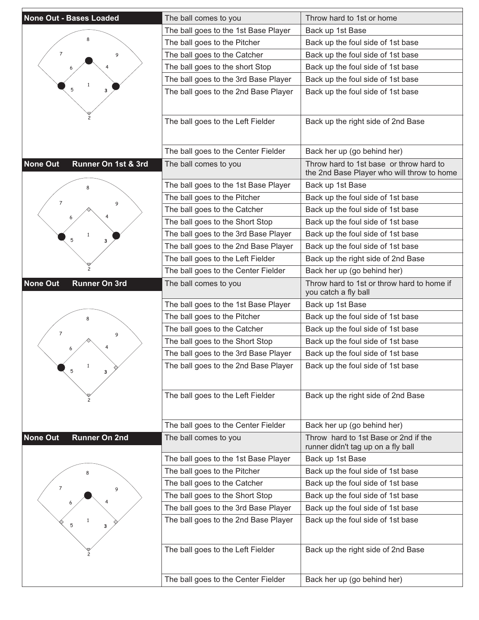| <b>None Out - Bases Loaded</b>          | The ball comes to you                | Throw hard to 1st or home                                                             |
|-----------------------------------------|--------------------------------------|---------------------------------------------------------------------------------------|
|                                         | The ball goes to the 1st Base Player | Back up 1st Base                                                                      |
|                                         | The ball goes to the Pitcher         | Back up the foul side of 1st base                                                     |
| $\overline{7}$<br>9                     | The ball goes to the Catcher         | Back up the foul side of 1st base                                                     |
|                                         | The ball goes to the short Stop      | Back up the foul side of 1st base                                                     |
|                                         | The ball goes to the 3rd Base Player | Back up the foul side of 1st base                                                     |
| 5                                       | The ball goes to the 2nd Base Player | Back up the foul side of 1st base                                                     |
|                                         |                                      |                                                                                       |
|                                         | The ball goes to the Left Fielder    | Back up the right side of 2nd Base                                                    |
|                                         |                                      |                                                                                       |
|                                         | The ball goes to the Center Fielder  | Back her up (go behind her)                                                           |
| <b>None Out</b><br>Runner On 1st & 3rd  | The ball comes to you                | Throw hard to 1st base or throw hard to<br>the 2nd Base Player who will throw to home |
|                                         | The ball goes to the 1st Base Player | Back up 1st Base                                                                      |
| 7                                       | The ball goes to the Pitcher         | Back up the foul side of 1st base                                                     |
| 9                                       | The ball goes to the Catcher         | Back up the foul side of 1st base                                                     |
|                                         | The ball goes to the Short Stop      | Back up the foul side of 1st base                                                     |
|                                         | The ball goes to the 3rd Base Player | Back up the foul side of 1st base                                                     |
| 5<br>3                                  | The ball goes to the 2nd Base Player | Back up the foul side of 1st base                                                     |
|                                         | The ball goes to the Left Fielder    | Back up the right side of 2nd Base                                                    |
|                                         | The ball goes to the Center Fielder  | Back her up (go behind her)                                                           |
| <b>None Out</b><br><b>Runner On 3rd</b> | The ball comes to you                | Throw hard to 1st or throw hard to home if<br>you catch a fly ball                    |
|                                         | The ball goes to the 1st Base Player | Back up 1st Base                                                                      |
|                                         | The ball goes to the Pitcher         | Back up the foul side of 1st base                                                     |
| $\overline{7}$<br>9                     | The ball goes to the Catcher         | Back up the foul side of 1st base                                                     |
|                                         | The ball goes to the Short Stop      | Back up the foul side of 1st base                                                     |
|                                         | The ball goes to the 3rd Base Player | Back up the foul side of 1st base                                                     |
| $\mathbf{1}$<br>5<br>3                  | The ball goes to the 2nd Base Player | Back up the foul side of 1st base                                                     |
|                                         |                                      |                                                                                       |
|                                         | The ball goes to the Left Fielder    | Back up the right side of 2nd Base                                                    |
|                                         | The ball goes to the Center Fielder  | Back her up (go behind her)                                                           |
| <b>None Out</b><br><b>Runner On 2nd</b> | The ball comes to you                | Throw hard to 1st Base or 2nd if the<br>runner didn't tag up on a fly ball            |
|                                         | The ball goes to the 1st Base Player | Back up 1st Base                                                                      |
|                                         | The ball goes to the Pitcher         | Back up the foul side of 1st base                                                     |
|                                         | The ball goes to the Catcher         | Back up the foul side of 1st base                                                     |
| $\overline{7}$<br>9                     | The ball goes to the Short Stop      | Back up the foul side of 1st base                                                     |
|                                         | The ball goes to the 3rd Base Player | Back up the foul side of 1st base                                                     |
|                                         | The ball goes to the 2nd Base Player | Back up the foul side of 1st base                                                     |
| 5<br>з                                  |                                      |                                                                                       |
|                                         |                                      |                                                                                       |
|                                         | The ball goes to the Left Fielder    | Back up the right side of 2nd Base                                                    |
|                                         | The ball goes to the Center Fielder  | Back her up (go behind her)                                                           |

E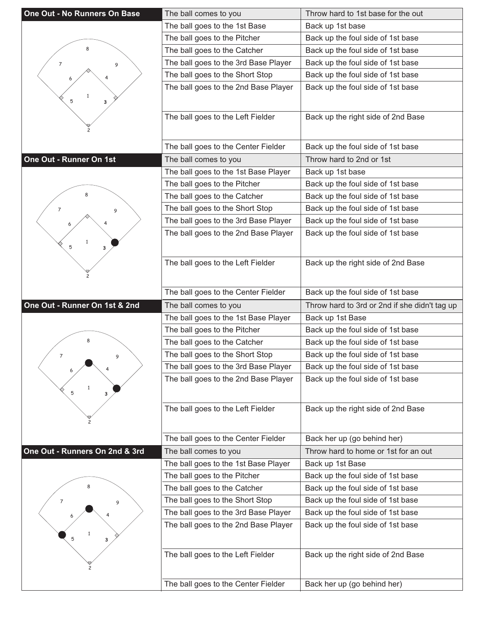| One Out - No Runners On Base   | The ball comes to you                | Throw hard to 1st base for the out            |
|--------------------------------|--------------------------------------|-----------------------------------------------|
|                                | The ball goes to the 1st Base        | Back up 1st base                              |
|                                | The ball goes to the Pitcher         | Back up the foul side of 1st base             |
| 8                              | The ball goes to the Catcher         | Back up the foul side of 1st base             |
| 7<br>9                         | The ball goes to the 3rd Base Player | Back up the foul side of 1st base             |
|                                | The ball goes to the Short Stop      | Back up the foul side of 1st base             |
|                                | The ball goes to the 2nd Base Player | Back up the foul side of 1st base             |
| $\mathbf{1}$<br>5<br>3         |                                      |                                               |
|                                |                                      |                                               |
|                                | The ball goes to the Left Fielder    | Back up the right side of 2nd Base            |
|                                |                                      |                                               |
|                                | The ball goes to the Center Fielder  | Back up the foul side of 1st base             |
| One Out - Runner On 1st        | The ball comes to you                | Throw hard to 2nd or 1st                      |
|                                | The ball goes to the 1st Base Player | Back up 1st base                              |
|                                | The ball goes to the Pitcher         | Back up the foul side of 1st base             |
|                                | The ball goes to the Catcher         | Back up the foul side of 1st base             |
| 7<br>9                         | The ball goes to the Short Stop      | Back up the foul side of 1st base             |
|                                | The ball goes to the 3rd Base Player | Back up the foul side of 1st base             |
|                                | The ball goes to the 2nd Base Player | Back up the foul side of 1st base             |
| 5<br>3                         |                                      |                                               |
|                                |                                      |                                               |
|                                | The ball goes to the Left Fielder    | Back up the right side of 2nd Base            |
|                                |                                      |                                               |
|                                | The ball goes to the Center Fielder  | Back up the foul side of 1st base             |
|                                |                                      |                                               |
| One Out - Runner On 1st & 2nd  | The ball comes to you                | Throw hard to 3rd or 2nd if she didn't tag up |
|                                | The ball goes to the 1st Base Player | Back up 1st Base                              |
|                                | The ball goes to the Pitcher         | Back up the foul side of 1st base             |
| 8                              | The ball goes to the Catcher         | Back up the foul side of 1st base             |
| $\overline{7}$<br>9            | The ball goes to the Short Stop      | Back up the foul side of 1st base             |
|                                | The ball goes to the 3rd Base Player | Back up the foul side of 1st base             |
|                                | The ball goes to the 2nd Base Player | Back up the foul side of 1st base             |
| $\mathbf{1}$<br>5<br>3         |                                      |                                               |
|                                |                                      |                                               |
|                                | The ball goes to the Left Fielder    | Back up the right side of 2nd Base            |
|                                |                                      |                                               |
|                                | The ball goes to the Center Fielder  | Back her up (go behind her)                   |
| One Out - Runners On 2nd & 3rd | The ball comes to you                | Throw hard to home or 1st for an out          |
|                                | The ball goes to the 1st Base Player | Back up 1st Base                              |
|                                | The ball goes to the Pitcher         | Back up the foul side of 1st base             |
|                                | The ball goes to the Catcher         | Back up the foul side of 1st base             |
| 7<br>9                         | The ball goes to the Short Stop      | Back up the foul side of 1st base             |
|                                | The ball goes to the 3rd Base Player | Back up the foul side of 1st base             |
|                                | The ball goes to the 2nd Base Player | Back up the foul side of 1st base             |
| 5<br>з                         |                                      |                                               |
|                                |                                      |                                               |
|                                | The ball goes to the Left Fielder    | Back up the right side of 2nd Base            |
|                                | The ball goes to the Center Fielder  | Back her up (go behind her)                   |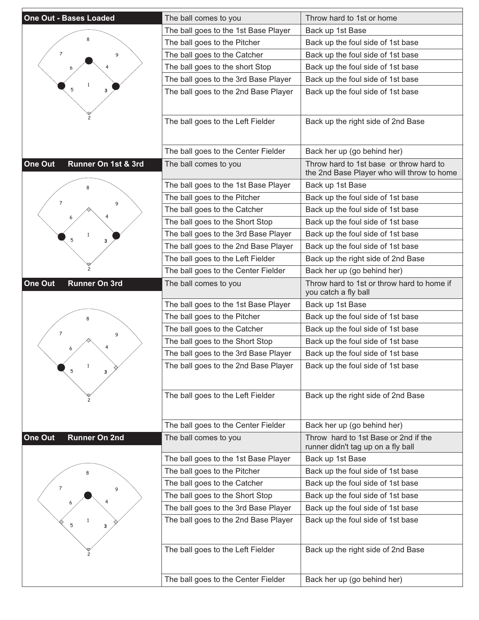| <b>One Out - Bases Loaded</b>   | The ball comes to you                | Throw hard to 1st or home                                                             |
|---------------------------------|--------------------------------------|---------------------------------------------------------------------------------------|
|                                 | The ball goes to the 1st Base Player | Back up 1st Base                                                                      |
|                                 | The ball goes to the Pitcher         | Back up the foul side of 1st base                                                     |
| $\overline{7}$<br>9             | The ball goes to the Catcher         | Back up the foul side of 1st base                                                     |
|                                 | The ball goes to the short Stop      | Back up the foul side of 1st base                                                     |
|                                 | The ball goes to the 3rd Base Player | Back up the foul side of 1st base                                                     |
| 5                               | The ball goes to the 2nd Base Player | Back up the foul side of 1st base                                                     |
|                                 |                                      |                                                                                       |
|                                 | The ball goes to the Left Fielder    | Back up the right side of 2nd Base                                                    |
|                                 | The ball goes to the Center Fielder  | Back her up (go behind her)                                                           |
| Runner On 1st & 3rd<br>One Out  | The ball comes to you                | Throw hard to 1st base or throw hard to<br>the 2nd Base Player who will throw to home |
|                                 | The ball goes to the 1st Base Player | Back up 1st Base                                                                      |
| 7<br>9                          | The ball goes to the Pitcher         | Back up the foul side of 1st base                                                     |
|                                 | The ball goes to the Catcher         | Back up the foul side of 1st base                                                     |
|                                 | The ball goes to the Short Stop      | Back up the foul side of 1st base                                                     |
| 5<br>3                          | The ball goes to the 3rd Base Player | Back up the foul side of 1st base                                                     |
|                                 | The ball goes to the 2nd Base Player | Back up the foul side of 1st base                                                     |
|                                 | The ball goes to the Left Fielder    | Back up the right side of 2nd Base                                                    |
|                                 | The ball goes to the Center Fielder  | Back her up (go behind her)                                                           |
| One Out<br><b>Runner On 3rd</b> | The ball comes to you                | Throw hard to 1st or throw hard to home if<br>you catch a fly ball                    |
|                                 | The ball goes to the 1st Base Player | Back up 1st Base                                                                      |
|                                 | The ball goes to the Pitcher         | Back up the foul side of 1st base                                                     |
| $\overline{7}$<br>9             | The ball goes to the Catcher         | Back up the foul side of 1st base                                                     |
|                                 | The ball goes to the Short Stop      | Back up the foul side of 1st base                                                     |
|                                 | The ball goes to the 3rd Base Player | Back up the foul side of 1st base                                                     |
| $\mathbf{1}$<br>5<br>3          | The ball goes to the 2nd Base Player | Back up the foul side of 1st base                                                     |
|                                 | The ball goes to the Left Fielder    | Back up the right side of 2nd Base                                                    |
|                                 | The ball goes to the Center Fielder  | Back her up (go behind her)                                                           |
| One Out<br><b>Runner On 2nd</b> | The ball comes to you                | Throw hard to 1st Base or 2nd if the<br>runner didn't tag up on a fly ball            |
|                                 | The ball goes to the 1st Base Player | Back up 1st Base                                                                      |
|                                 | The ball goes to the Pitcher         | Back up the foul side of 1st base                                                     |
| $\overline{7}$<br>9             | The ball goes to the Catcher         | Back up the foul side of 1st base                                                     |
|                                 | The ball goes to the Short Stop      | Back up the foul side of 1st base                                                     |
|                                 | The ball goes to the 3rd Base Player | Back up the foul side of 1st base                                                     |
| 5<br>з                          | The ball goes to the 2nd Base Player | Back up the foul side of 1st base                                                     |
|                                 | The ball goes to the Left Fielder    | Back up the right side of 2nd Base                                                    |
|                                 | The ball goes to the Center Fielder  | Back her up (go behind her)                                                           |
|                                 |                                      |                                                                                       |

E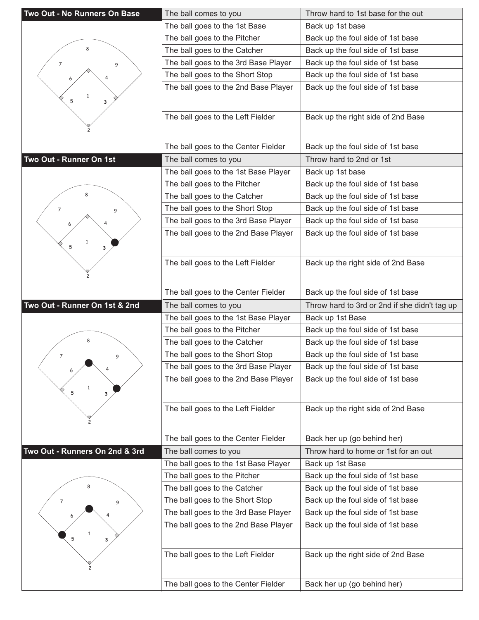| Two Out - No Runners On Base   | The ball comes to you                | Throw hard to 1st base for the out            |
|--------------------------------|--------------------------------------|-----------------------------------------------|
|                                | The ball goes to the 1st Base        | Back up 1st base                              |
|                                | The ball goes to the Pitcher         | Back up the foul side of 1st base             |
| 8                              | The ball goes to the Catcher         | Back up the foul side of 1st base             |
| 7<br>9                         | The ball goes to the 3rd Base Player | Back up the foul side of 1st base             |
|                                | The ball goes to the Short Stop      | Back up the foul side of 1st base             |
|                                | The ball goes to the 2nd Base Player | Back up the foul side of 1st base             |
| $\mathbf{1}$<br>5              |                                      |                                               |
| 3                              |                                      |                                               |
|                                | The ball goes to the Left Fielder    | Back up the right side of 2nd Base            |
|                                |                                      |                                               |
|                                | The ball goes to the Center Fielder  | Back up the foul side of 1st base             |
| Two Out - Runner On 1st        | The ball comes to you                | Throw hard to 2nd or 1st                      |
|                                | The ball goes to the 1st Base Player | Back up 1st base                              |
|                                | The ball goes to the Pitcher         | Back up the foul side of 1st base             |
|                                | The ball goes to the Catcher         | Back up the foul side of 1st base             |
| 7                              | The ball goes to the Short Stop      | Back up the foul side of 1st base             |
| 9                              | The ball goes to the 3rd Base Player | Back up the foul side of 1st base             |
|                                | The ball goes to the 2nd Base Player | Back up the foul side of 1st base             |
|                                |                                      |                                               |
| 5<br>3                         |                                      |                                               |
|                                | The ball goes to the Left Fielder    | Back up the right side of 2nd Base            |
|                                |                                      |                                               |
|                                | The ball goes to the Center Fielder  | Back up the foul side of 1st base             |
|                                |                                      |                                               |
|                                |                                      |                                               |
| Two Out - Runner On 1st & 2nd  | The ball comes to you                | Throw hard to 3rd or 2nd if she didn't tag up |
|                                | The ball goes to the 1st Base Player | Back up 1st Base                              |
| 8                              | The ball goes to the Pitcher         | Back up the foul side of 1st base             |
|                                | The ball goes to the Catcher         | Back up the foul side of 1st base             |
| $\overline{7}$<br>9            | The ball goes to the Short Stop      | Back up the foul side of 1st base             |
|                                | The ball goes to the 3rd Base Player | Back up the foul side of 1st base             |
| $\mathbf{1}$                   | The ball goes to the 2nd Base Player | Back up the foul side of 1st base             |
| 5<br>3                         |                                      |                                               |
|                                | The ball goes to the Left Fielder    | Back up the right side of 2nd Base            |
|                                |                                      |                                               |
|                                | The ball goes to the Center Fielder  | Back her up (go behind her)                   |
| Two Out - Runners On 2nd & 3rd | The ball comes to you                | Throw hard to home or 1st for an out          |
|                                | The ball goes to the 1st Base Player | Back up 1st Base                              |
|                                | The ball goes to the Pitcher         | Back up the foul side of 1st base             |
|                                | The ball goes to the Catcher         | Back up the foul side of 1st base             |
| 7                              | The ball goes to the Short Stop      | Back up the foul side of 1st base             |
| 9                              | The ball goes to the 3rd Base Player | Back up the foul side of 1st base             |
|                                | The ball goes to the 2nd Base Player | Back up the foul side of 1st base             |
| 5                              |                                      |                                               |
| з                              |                                      |                                               |
|                                | The ball goes to the Left Fielder    | Back up the right side of 2nd Base            |
|                                |                                      |                                               |